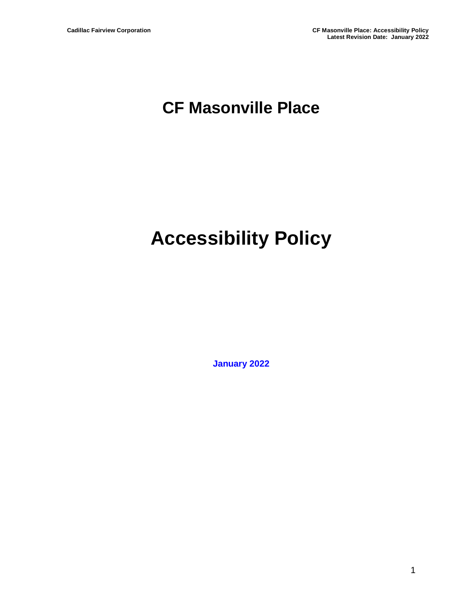## **CF Masonville Place**

# **Accessibility Policy**

**January 2022**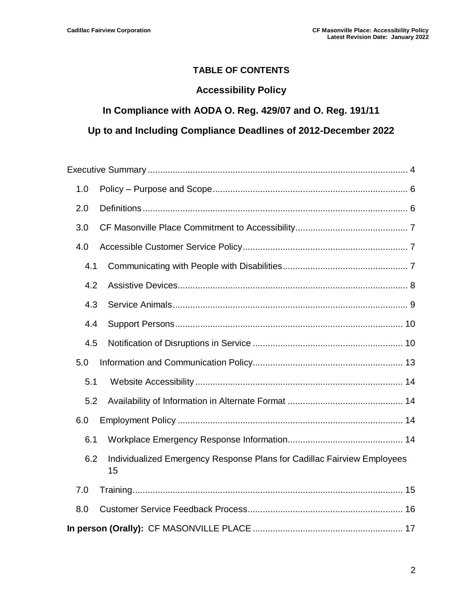#### **TABLE OF CONTENTS**

#### **Accessibility Policy**

#### **In Compliance with AODA O. Reg. 429/07 and O. Reg. 191/11**

#### **Up to and Including Compliance Deadlines of 2012-December 2022**

| 1.0 |                                                                               |  |  |  |
|-----|-------------------------------------------------------------------------------|--|--|--|
| 2.0 |                                                                               |  |  |  |
| 3.0 |                                                                               |  |  |  |
| 4.0 |                                                                               |  |  |  |
| 4.1 |                                                                               |  |  |  |
| 4.2 |                                                                               |  |  |  |
| 4.3 |                                                                               |  |  |  |
| 4.4 |                                                                               |  |  |  |
| 4.5 |                                                                               |  |  |  |
| 5.0 |                                                                               |  |  |  |
| 5.1 |                                                                               |  |  |  |
| 5.2 |                                                                               |  |  |  |
| 6.0 |                                                                               |  |  |  |
| 6.1 |                                                                               |  |  |  |
| 6.2 | Individualized Emergency Response Plans for Cadillac Fairview Employees<br>15 |  |  |  |
| 7.0 |                                                                               |  |  |  |
| 8.0 |                                                                               |  |  |  |
|     |                                                                               |  |  |  |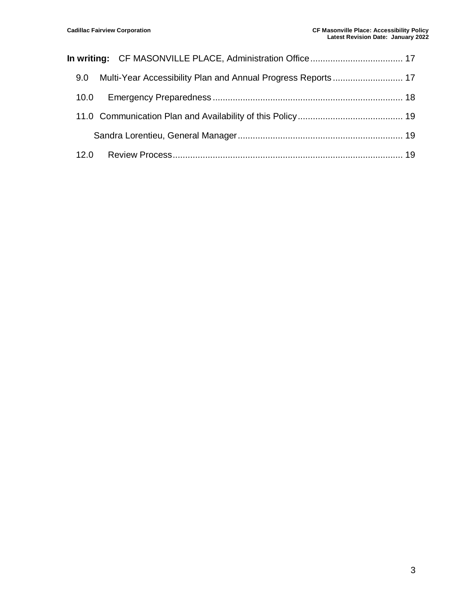|  | 9.0  |  |  |
|--|------|--|--|
|  | 10.0 |  |  |
|  |      |  |  |
|  |      |  |  |
|  | 12.0 |  |  |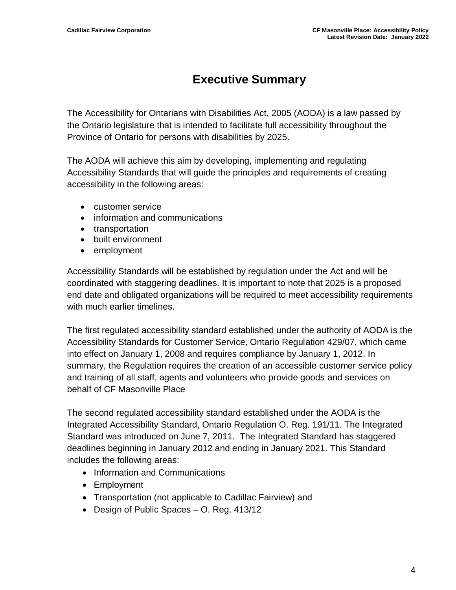## **Executive Summary**

<span id="page-3-0"></span>The Accessibility for Ontarians with Disabilities Act, 2005 (AODA) is a law passed by the Ontario legislature that is intended to facilitate full accessibility throughout the Province of Ontario for persons with disabilities by 2025.

The AODA will achieve this aim by developing, implementing and regulating Accessibility Standards that will guide the principles and requirements of creating accessibility in the following areas:

- customer service
- information and communications
- transportation
- built environment
- employment

Accessibility Standards will be established by regulation under the Act and will be coordinated with staggering deadlines. It is important to note that 2025 is a proposed end date and obligated organizations will be required to meet accessibility requirements with much earlier timelines.

The first regulated accessibility standard established under the authority of AODA is the Accessibility Standards for Customer Service, Ontario Regulation 429/07, which came into effect on January 1, 2008 and requires compliance by January 1, 2012. In summary, the Regulation requires the creation of an accessible customer service policy and training of all staff, agents and volunteers who provide goods and services on behalf of CF Masonville Place

The second regulated accessibility standard established under the AODA is the Integrated Accessibility Standard, Ontario Regulation O. Reg. 191/11. The Integrated Standard was introduced on June 7, 2011. The Integrated Standard has staggered deadlines beginning in January 2012 and ending in January 2021. This Standard includes the following areas:

- Information and Communications
- Employment
- Transportation (not applicable to Cadillac Fairview) and
- Design of Public Spaces O. Reg. 413/12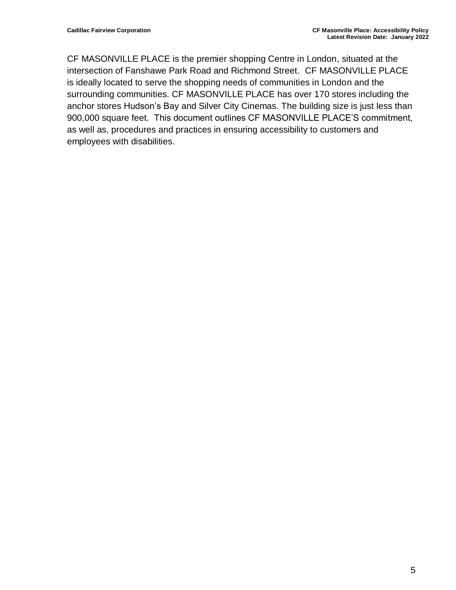CF MASONVILLE PLACE is the premier shopping Centre in London, situated at the intersection of Fanshawe Park Road and Richmond Street. CF MASONVILLE PLACE is ideally located to serve the shopping needs of communities in London and the surrounding communities. CF MASONVILLE PLACE has over 170 stores including the anchor stores Hudson's Bay and Silver City Cinemas. The building size is just less than 900,000 square feet. This document outlines CF MASONVILLE PLACE'S commitment, as well as, procedures and practices in ensuring accessibility to customers and employees with disabilities.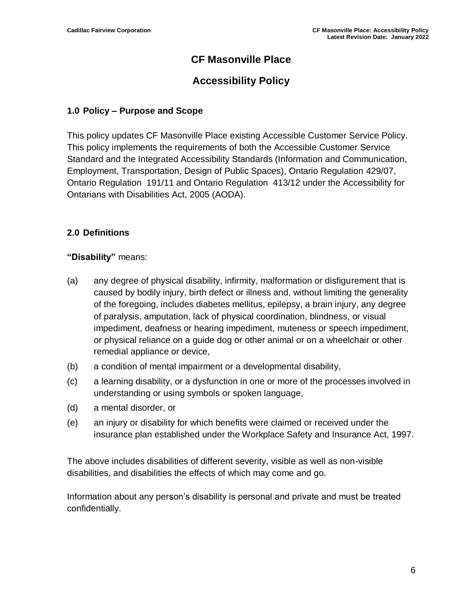#### **CF Masonville Place**

### **Accessibility Policy**

#### <span id="page-5-0"></span>**1.0 Policy – Purpose and Scope**

This policy updates CF Masonville Place existing Accessible Customer Service Policy. This policy implements the requirements of both the Accessible Customer Service Standard and the Integrated Accessibility Standards (Information and Communication, Employment, Transportation, Design of Public Spaces), Ontario Regulation 429/07, Ontario Regulation 191/11 and Ontario Regulation 413/12 under the Accessibility for Ontarians with Disabilities Act, 2005 (AODA).

#### <span id="page-5-1"></span>**2.0 Definitions**

#### **"Disability"** means:

- (a) any degree of physical disability, infirmity, malformation or disfigurement that is caused by bodily injury, birth defect or illness and, without limiting the generality of the foregoing, includes diabetes mellitus, epilepsy, a brain injury, any degree of paralysis, amputation, lack of physical coordination, blindness, or visual impediment, deafness or hearing impediment, muteness or speech impediment, or physical reliance on a guide dog or other animal or on a wheelchair or other remedial appliance or device,
- (b) a condition of mental impairment or a developmental disability,
- (c) a learning disability, or a dysfunction in one or more of the processes involved in understanding or using symbols or spoken language,
- (d) a mental disorder, or
- (e) an injury or disability for which benefits were claimed or received under the insurance plan established under the Workplace Safety and Insurance Act, 1997.

The above includes disabilities of different severity, visible as well as non-visible disabilities, and disabilities the effects of which may come and go.

Information about any person's disability is personal and private and must be treated confidentially.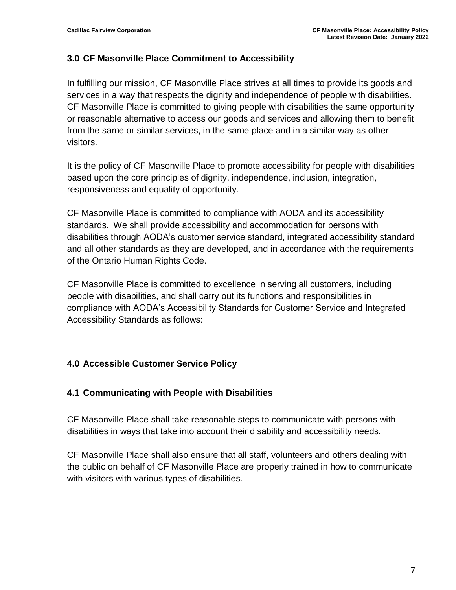#### <span id="page-6-0"></span>**3.0 CF Masonville Place Commitment to Accessibility**

In fulfilling our mission, CF Masonville Place strives at all times to provide its goods and services in a way that respects the dignity and independence of people with disabilities. CF Masonville Place is committed to giving people with disabilities the same opportunity or reasonable alternative to access our goods and services and allowing them to benefit from the same or similar services, in the same place and in a similar way as other visitors.

It is the policy of CF Masonville Place to promote accessibility for people with disabilities based upon the core principles of dignity, independence, inclusion, integration, responsiveness and equality of opportunity.

CF Masonville Place is committed to compliance with AODA and its accessibility standards. We shall provide accessibility and accommodation for persons with disabilities through AODA's customer service standard, integrated accessibility standard and all other standards as they are developed, and in accordance with the requirements of the Ontario Human Rights Code.

CF Masonville Place is committed to excellence in serving all customers, including people with disabilities, and shall carry out its functions and responsibilities in compliance with AODA's Accessibility Standards for Customer Service and Integrated Accessibility Standards as follows:

#### <span id="page-6-1"></span>**4.0 Accessible Customer Service Policy**

#### <span id="page-6-2"></span>**4.1 Communicating with People with Disabilities**

CF Masonville Place shall take reasonable steps to communicate with persons with disabilities in ways that take into account their disability and accessibility needs.

CF Masonville Place shall also ensure that all staff, volunteers and others dealing with the public on behalf of CF Masonville Place are properly trained in how to communicate with visitors with various types of disabilities.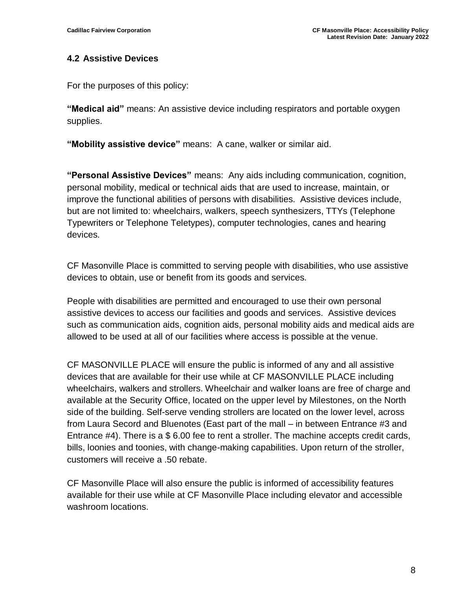#### <span id="page-7-0"></span>**4.2 Assistive Devices**

For the purposes of this policy:

**"Medical aid"** means: An assistive device including respirators and portable oxygen supplies.

**"Mobility assistive device"** means: A cane, walker or similar aid.

**"Personal Assistive Devices"** means: Any aids including communication, cognition, personal mobility, medical or technical aids that are used to increase, maintain, or improve the functional abilities of persons with disabilities. Assistive devices include, but are not limited to: wheelchairs, walkers, speech synthesizers, TTYs (Telephone Typewriters or Telephone Teletypes), computer technologies, canes and hearing devices.

CF Masonville Place is committed to serving people with disabilities, who use assistive devices to obtain, use or benefit from its goods and services.

People with disabilities are permitted and encouraged to use their own personal assistive devices to access our facilities and goods and services. Assistive devices such as communication aids, cognition aids, personal mobility aids and medical aids are allowed to be used at all of our facilities where access is possible at the venue.

CF MASONVILLE PLACE will ensure the public is informed of any and all assistive devices that are available for their use while at CF MASONVILLE PLACE including wheelchairs, walkers and strollers. Wheelchair and walker loans are free of charge and available at the Security Office, located on the upper level by Milestones, on the North side of the building. Self-serve vending strollers are located on the lower level, across from Laura Secord and Bluenotes (East part of the mall – in between Entrance #3 and Entrance #4). There is a \$ 6.00 fee to rent a stroller. The machine accepts credit cards, bills, loonies and toonies, with change-making capabilities. Upon return of the stroller, customers will receive a .50 rebate.

CF Masonville Place will also ensure the public is informed of accessibility features available for their use while at CF Masonville Place including elevator and accessible washroom locations.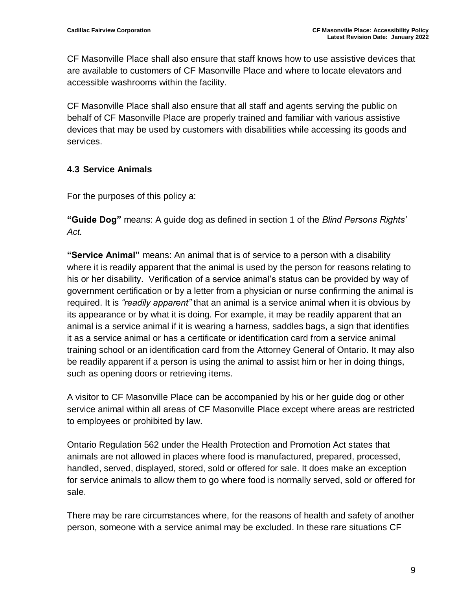CF Masonville Place shall also ensure that staff knows how to use assistive devices that are available to customers of CF Masonville Place and where to locate elevators and accessible washrooms within the facility.

CF Masonville Place shall also ensure that all staff and agents serving the public on behalf of CF Masonville Place are properly trained and familiar with various assistive devices that may be used by customers with disabilities while accessing its goods and services.

#### <span id="page-8-0"></span>**4.3 Service Animals**

For the purposes of this policy a:

**"Guide Dog"** means: A guide dog as defined in section 1 of the *Blind Persons Rights' Act.*

**"Service Animal"** means: An animal that is of service to a person with a disability where it is readily apparent that the animal is used by the person for reasons relating to his or her disability. Verification of a service animal's status can be provided by way of government certification or by a letter from a physician or nurse confirming the animal is required. It is *"readily apparent"* that an animal is a service animal when it is obvious by its appearance or by what it is doing. For example, it may be readily apparent that an animal is a service animal if it is wearing a harness, saddles bags, a sign that identifies it as a service animal or has a certificate or identification card from a service animal training school or an identification card from the Attorney General of Ontario. It may also be readily apparent if a person is using the animal to assist him or her in doing things, such as opening doors or retrieving items.

A visitor to CF Masonville Place can be accompanied by his or her guide dog or other service animal within all areas of CF Masonville Place except where areas are restricted to employees or prohibited by law.

Ontario Regulation 562 under the Health Protection and Promotion Act states that animals are not allowed in places where food is manufactured, prepared, processed, handled, served, displayed, stored, sold or offered for sale. It does make an exception for service animals to allow them to go where food is normally served, sold or offered for sale.

There may be rare circumstances where, for the reasons of health and safety of another person, someone with a service animal may be excluded. In these rare situations CF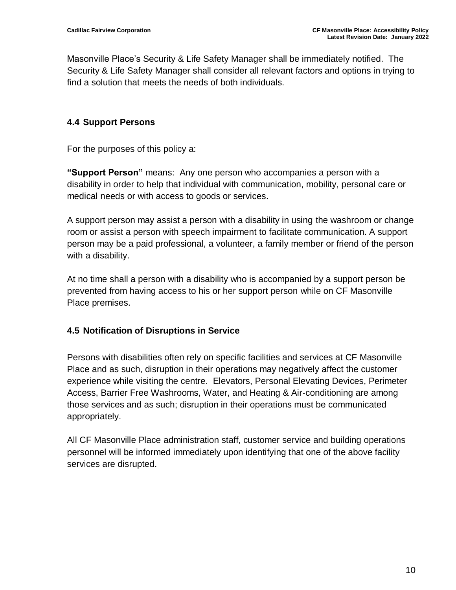Masonville Place's Security & Life Safety Manager shall be immediately notified. The Security & Life Safety Manager shall consider all relevant factors and options in trying to find a solution that meets the needs of both individuals.

#### <span id="page-9-0"></span>**4.4 Support Persons**

For the purposes of this policy a:

**"Support Person"** means: Any one person who accompanies a person with a disability in order to help that individual with communication, mobility, personal care or medical needs or with access to goods or services.

A support person may assist a person with a disability in using the washroom or change room or assist a person with speech impairment to facilitate communication. A support person may be a paid professional, a volunteer, a family member or friend of the person with a disability.

At no time shall a person with a disability who is accompanied by a support person be prevented from having access to his or her support person while on CF Masonville Place premises.

#### <span id="page-9-1"></span>**4.5 Notification of Disruptions in Service**

Persons with disabilities often rely on specific facilities and services at CF Masonville Place and as such, disruption in their operations may negatively affect the customer experience while visiting the centre. Elevators, Personal Elevating Devices, Perimeter Access, Barrier Free Washrooms, Water, and Heating & Air-conditioning are among those services and as such; disruption in their operations must be communicated appropriately.

All CF Masonville Place administration staff, customer service and building operations personnel will be informed immediately upon identifying that one of the above facility services are disrupted.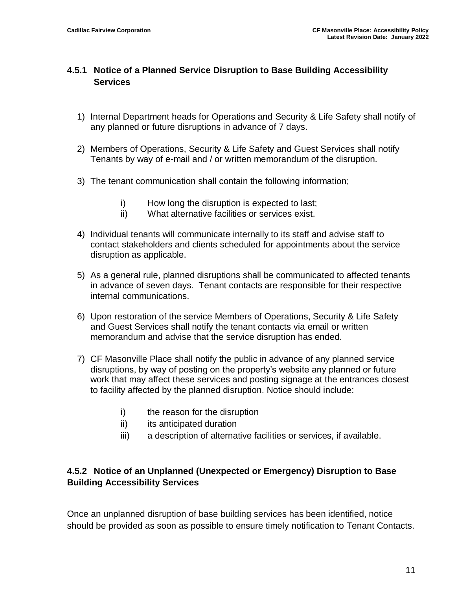#### **4.5.1 Notice of a Planned Service Disruption to Base Building Accessibility Services**

- 1) Internal Department heads for Operations and Security & Life Safety shall notify of any planned or future disruptions in advance of 7 days.
- 2) Members of Operations, Security & Life Safety and Guest Services shall notify Tenants by way of e-mail and / or written memorandum of the disruption.
- 3) The tenant communication shall contain the following information;
	- i) How long the disruption is expected to last;
	- ii) What alternative facilities or services exist.
- 4) Individual tenants will communicate internally to its staff and advise staff to contact stakeholders and clients scheduled for appointments about the service disruption as applicable.
- 5) As a general rule, planned disruptions shall be communicated to affected tenants in advance of seven days. Tenant contacts are responsible for their respective internal communications.
- 6) Upon restoration of the service Members of Operations, Security & Life Safety and Guest Services shall notify the tenant contacts via email or written memorandum and advise that the service disruption has ended.
- 7) CF Masonville Place shall notify the public in advance of any planned service disruptions, by way of posting on the property's website any planned or future work that may affect these services and posting signage at the entrances closest to facility affected by the planned disruption. Notice should include:
	- i) the reason for the disruption
	- ii) its anticipated duration
	- iii) a description of alternative facilities or services, if available.

#### **4.5.2 Notice of an Unplanned (Unexpected or Emergency) Disruption to Base Building Accessibility Services**

Once an unplanned disruption of base building services has been identified, notice should be provided as soon as possible to ensure timely notification to Tenant Contacts.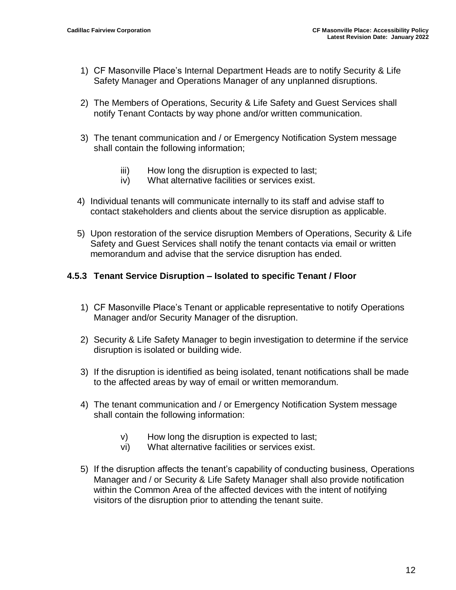- 1) CF Masonville Place's Internal Department Heads are to notify Security & Life Safety Manager and Operations Manager of any unplanned disruptions.
- 2) The Members of Operations, Security & Life Safety and Guest Services shall notify Tenant Contacts by way phone and/or written communication.
- 3) The tenant communication and / or Emergency Notification System message shall contain the following information;
	- iii) How long the disruption is expected to last;
	- iv) What alternative facilities or services exist.
- 4) Individual tenants will communicate internally to its staff and advise staff to contact stakeholders and clients about the service disruption as applicable.
- 5) Upon restoration of the service disruption Members of Operations, Security & Life Safety and Guest Services shall notify the tenant contacts via email or written memorandum and advise that the service disruption has ended.

#### **4.5.3 Tenant Service Disruption – Isolated to specific Tenant / Floor**

- 1) CF Masonville Place's Tenant or applicable representative to notify Operations Manager and/or Security Manager of the disruption.
- 2) Security & Life Safety Manager to begin investigation to determine if the service disruption is isolated or building wide.
- 3) If the disruption is identified as being isolated, tenant notifications shall be made to the affected areas by way of email or written memorandum.
- 4) The tenant communication and / or Emergency Notification System message shall contain the following information:
	- v) How long the disruption is expected to last;
	- vi) What alternative facilities or services exist.
- 5) If the disruption affects the tenant's capability of conducting business, Operations Manager and / or Security & Life Safety Manager shall also provide notification within the Common Area of the affected devices with the intent of notifying visitors of the disruption prior to attending the tenant suite.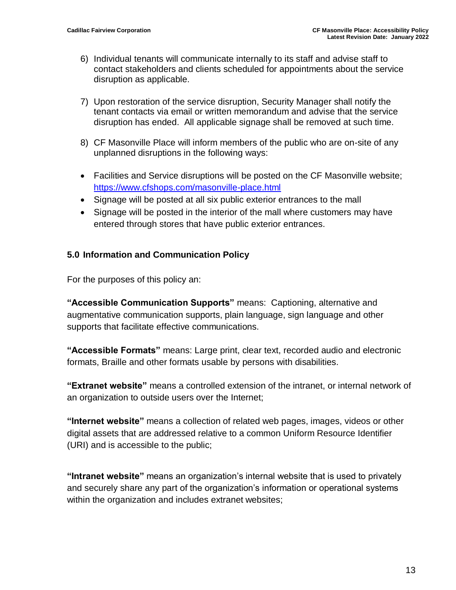- 6) Individual tenants will communicate internally to its staff and advise staff to contact stakeholders and clients scheduled for appointments about the service disruption as applicable.
- 7) Upon restoration of the service disruption, Security Manager shall notify the tenant contacts via email or written memorandum and advise that the service disruption has ended. All applicable signage shall be removed at such time.
- 8) CF Masonville Place will inform members of the public who are on-site of any unplanned disruptions in the following ways:
- Facilities and Service disruptions will be posted on the CF Masonville website; <https://www.cfshops.com/masonville-place.html>
- Signage will be posted at all six public exterior entrances to the mall
- Signage will be posted in the interior of the mall where customers may have entered through stores that have public exterior entrances.

#### <span id="page-12-0"></span>**5.0 Information and Communication Policy**

For the purposes of this policy an:

**"Accessible Communication Supports"** means: Captioning, alternative and augmentative communication supports, plain language, sign language and other supports that facilitate effective communications.

**"Accessible Formats"** means: Large print, clear text, recorded audio and electronic formats, Braille and other formats usable by persons with disabilities.

**"Extranet website"** means a controlled extension of the intranet, or internal network of an organization to outside users over the Internet;

**"Internet website"** means a collection of related web pages, images, videos or other digital assets that are addressed relative to a common Uniform Resource Identifier (URI) and is accessible to the public;

**"Intranet website"** means an organization's internal website that is used to privately and securely share any part of the organization's information or operational systems within the organization and includes extranet websites;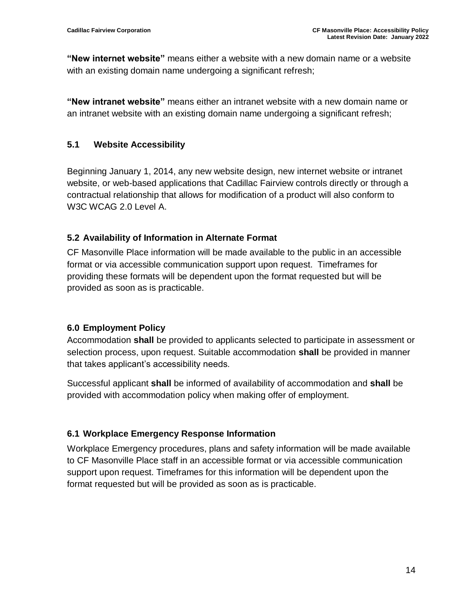**"New internet website"** means either a website with a new domain name or a website with an existing domain name undergoing a significant refresh;

**"New intranet website"** means either an intranet website with a new domain name or an intranet website with an existing domain name undergoing a significant refresh;

#### <span id="page-13-0"></span>**5.1 Website Accessibility**

Beginning January 1, 2014, any new website design, new internet website or intranet website, or web-based applications that Cadillac Fairview controls directly or through a contractual relationship that allows for modification of a product will also conform to W<sub>3</sub>C WCAG 2.0 Level A.

#### <span id="page-13-1"></span>**5.2 Availability of Information in Alternate Format**

CF Masonville Place information will be made available to the public in an accessible format or via accessible communication support upon request. Timeframes for providing these formats will be dependent upon the format requested but will be provided as soon as is practicable.

#### <span id="page-13-2"></span>**6.0 Employment Policy**

Accommodation **shall** be provided to applicants selected to participate in assessment or selection process, upon request. Suitable accommodation **shall** be provided in manner that takes applicant's accessibility needs.

Successful applicant **shall** be informed of availability of accommodation and **shall** be provided with accommodation policy when making offer of employment.

#### <span id="page-13-3"></span>**6.1 Workplace Emergency Response Information**

Workplace Emergency procedures, plans and safety information will be made available to CF Masonville Place staff in an accessible format or via accessible communication support upon request. Timeframes for this information will be dependent upon the format requested but will be provided as soon as is practicable.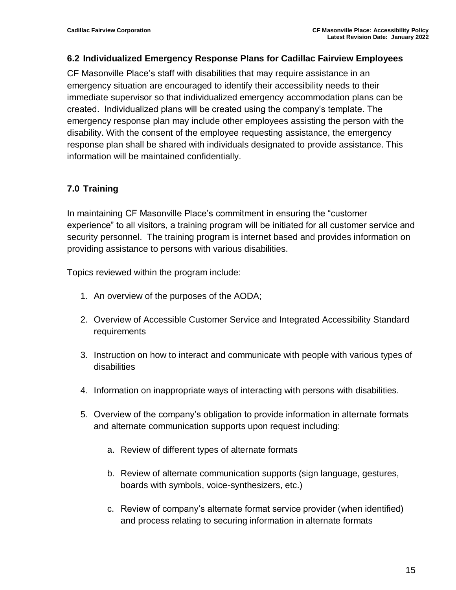#### <span id="page-14-0"></span>**6.2 Individualized Emergency Response Plans for Cadillac Fairview Employees**

CF Masonville Place's staff with disabilities that may require assistance in an emergency situation are encouraged to identify their accessibility needs to their immediate supervisor so that individualized emergency accommodation plans can be created. Individualized plans will be created using the company's template. The emergency response plan may include other employees assisting the person with the disability. With the consent of the employee requesting assistance, the emergency response plan shall be shared with individuals designated to provide assistance. This information will be maintained confidentially.

#### <span id="page-14-1"></span>**7.0 Training**

In maintaining CF Masonville Place's commitment in ensuring the "customer experience" to all visitors, a training program will be initiated for all customer service and security personnel. The training program is internet based and provides information on providing assistance to persons with various disabilities.

Topics reviewed within the program include:

- 1. An overview of the purposes of the AODA;
- 2. Overview of Accessible Customer Service and Integrated Accessibility Standard requirements
- 3. Instruction on how to interact and communicate with people with various types of disabilities
- 4. Information on inappropriate ways of interacting with persons with disabilities.
- 5. Overview of the company's obligation to provide information in alternate formats and alternate communication supports upon request including:
	- a. Review of different types of alternate formats
	- b. Review of alternate communication supports (sign language, gestures, boards with symbols, voice-synthesizers, etc.)
	- c. Review of company's alternate format service provider (when identified) and process relating to securing information in alternate formats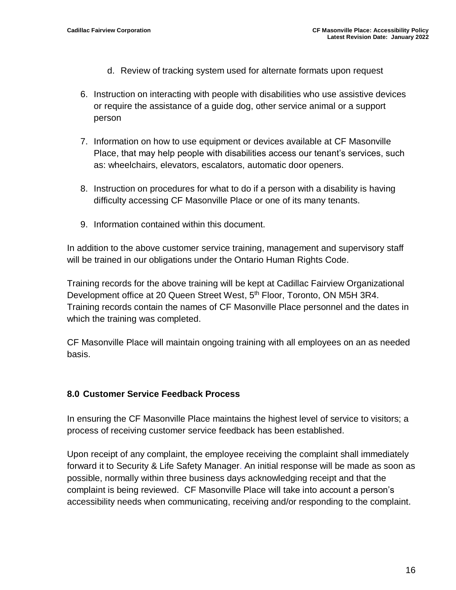- d. Review of tracking system used for alternate formats upon request
- 6. Instruction on interacting with people with disabilities who use assistive devices or require the assistance of a guide dog, other service animal or a support person
- 7. Information on how to use equipment or devices available at CF Masonville Place, that may help people with disabilities access our tenant's services, such as: wheelchairs, elevators, escalators, automatic door openers.
- 8. Instruction on procedures for what to do if a person with a disability is having difficulty accessing CF Masonville Place or one of its many tenants.
- 9. Information contained within this document.

In addition to the above customer service training, management and supervisory staff will be trained in our obligations under the Ontario Human Rights Code.

Training records for the above training will be kept at Cadillac Fairview Organizational Development office at 20 Queen Street West, 5<sup>th</sup> Floor, Toronto, ON M5H 3R4. Training records contain the names of CF Masonville Place personnel and the dates in which the training was completed.

CF Masonville Place will maintain ongoing training with all employees on an as needed basis.

#### <span id="page-15-0"></span>**8.0 Customer Service Feedback Process**

In ensuring the CF Masonville Place maintains the highest level of service to visitors; a process of receiving customer service feedback has been established.

Upon receipt of any complaint, the employee receiving the complaint shall immediately forward it to Security & Life Safety Manager. An initial response will be made as soon as possible, normally within three business days acknowledging receipt and that the complaint is being reviewed. CF Masonville Place will take into account a person's accessibility needs when communicating, receiving and/or responding to the complaint.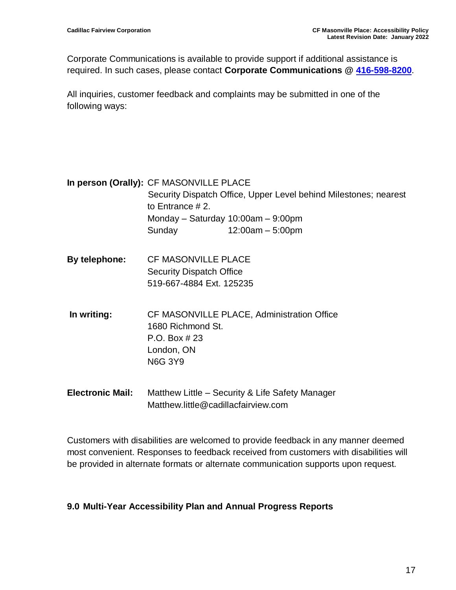Corporate Communications is available to provide support if additional assistance is required. In such cases, please contact **Corporate Communications @ [416-598-8200](tel:416-598-8200)**.

All inquiries, customer feedback and complaints may be submitted in one of the following ways:

<span id="page-16-0"></span>

|                    | In person (Orally): CF MASONVILLE PLACE  |                                                                  |
|--------------------|------------------------------------------|------------------------------------------------------------------|
|                    |                                          | Security Dispatch Office, Upper Level behind Milestones; nearest |
| to Entrance $#2$ . |                                          |                                                                  |
|                    | Monday – Saturday $10:00$ am – $9:00$ pm |                                                                  |
|                    | Sunday                                   | $12:00am - 5:00pm$                                               |
|                    |                                          |                                                                  |

- **By telephone:** CF MASONVILLE PLACE Security Dispatch Office 519-667-4884 Ext. 125235
- <span id="page-16-1"></span>**In writing:** CF MASONVILLE PLACE, Administration Office 1680 Richmond St. P.O. Box # 23 London, ON N6G 3Y9
- **Electronic Mail:** Matthew Little Security & Life Safety Manager Matthew.little@cadillacfairview.com

Customers with disabilities are welcomed to provide feedback in any manner deemed most convenient. Responses to feedback received from customers with disabilities will be provided in alternate formats or alternate communication supports upon request.

#### <span id="page-16-2"></span>**9.0 Multi-Year Accessibility Plan and Annual Progress Reports**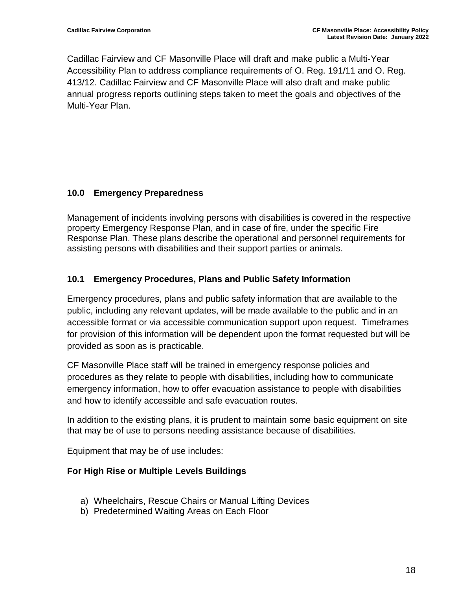Cadillac Fairview and CF Masonville Place will draft and make public a Multi-Year Accessibility Plan to address compliance requirements of O. Reg. 191/11 and O. Reg. 413/12. Cadillac Fairview and CF Masonville Place will also draft and make public annual progress reports outlining steps taken to meet the goals and objectives of the Multi-Year Plan.

#### <span id="page-17-0"></span>**10.0 Emergency Preparedness**

Management of incidents involving persons with disabilities is covered in the respective property Emergency Response Plan, and in case of fire, under the specific Fire Response Plan. These plans describe the operational and personnel requirements for assisting persons with disabilities and their support parties or animals.

#### **10.1 Emergency Procedures, Plans and Public Safety Information**

Emergency procedures, plans and public safety information that are available to the public, including any relevant updates, will be made available to the public and in an accessible format or via accessible communication support upon request. Timeframes for provision of this information will be dependent upon the format requested but will be provided as soon as is practicable.

CF Masonville Place staff will be trained in emergency response policies and procedures as they relate to people with disabilities, including how to communicate emergency information, how to offer evacuation assistance to people with disabilities and how to identify accessible and safe evacuation routes.

In addition to the existing plans, it is prudent to maintain some basic equipment on site that may be of use to persons needing assistance because of disabilities.

Equipment that may be of use includes:

#### **For High Rise or Multiple Levels Buildings**

- a) Wheelchairs, Rescue Chairs or Manual Lifting Devices
- b) Predetermined Waiting Areas on Each Floor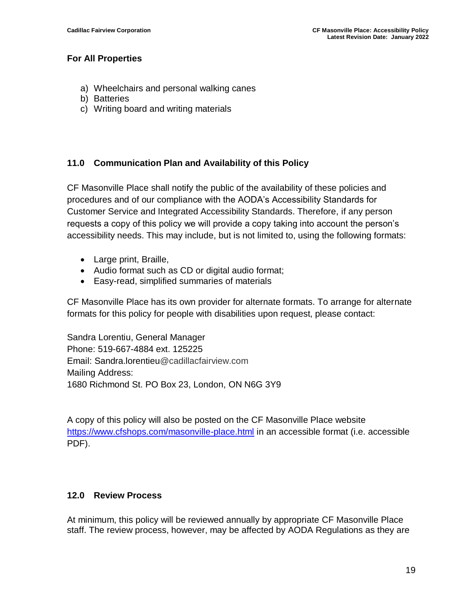#### **For All Properties**

- a) Wheelchairs and personal walking canes
- b) Batteries
- c) Writing board and writing materials

#### <span id="page-18-0"></span>**11.0 Communication Plan and Availability of this Policy**

CF Masonville Place shall notify the public of the availability of these policies and procedures and of our compliance with the AODA's Accessibility Standards for Customer Service and Integrated Accessibility Standards. Therefore, if any person requests a copy of this policy we will provide a copy taking into account the person's accessibility needs. This may include, but is not limited to, using the following formats:

- Large print, Braille,
- Audio format such as CD or digital audio format;
- Easy-read, simplified summaries of materials

CF Masonville Place has its own provider for alternate formats. To arrange for alternate formats for this policy for people with disabilities upon request, please contact:

<span id="page-18-1"></span>Sandra Lorentiu, General Manager Phone: 519-667-4884 ext. 125225 Email: Sandra.lorentieu@cadillacfairview.com Mailing Address: 1680 Richmond St. PO Box 23, London, ON N6G 3Y9

A copy of this policy will also be posted on the CF Masonville Place website [https://www.cfshops.com/masonville-place.html](https://www.cfshops.com/masonville-place.html%20in) in an accessible format (i.e. accessible PDF).

#### <span id="page-18-2"></span>**12.0 Review Process**

At minimum, this policy will be reviewed annually by appropriate CF Masonville Place staff. The review process, however, may be affected by AODA Regulations as they are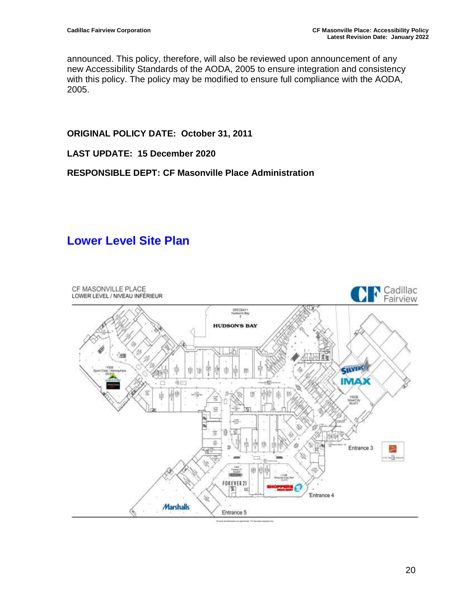announced. This policy, therefore, will also be reviewed upon announcement of any new Accessibility Standards of the AODA, 2005 to ensure integration and consistency with this policy. The policy may be modified to ensure full compliance with the AODA, 2005.

**ORIGINAL POLICY DATE: October 31, 2011**

**LAST UPDATE: 15 December 2020**

**RESPONSIBLE DEPT: CF Masonville Place Administration** 

## **Lower Level Site Plan**